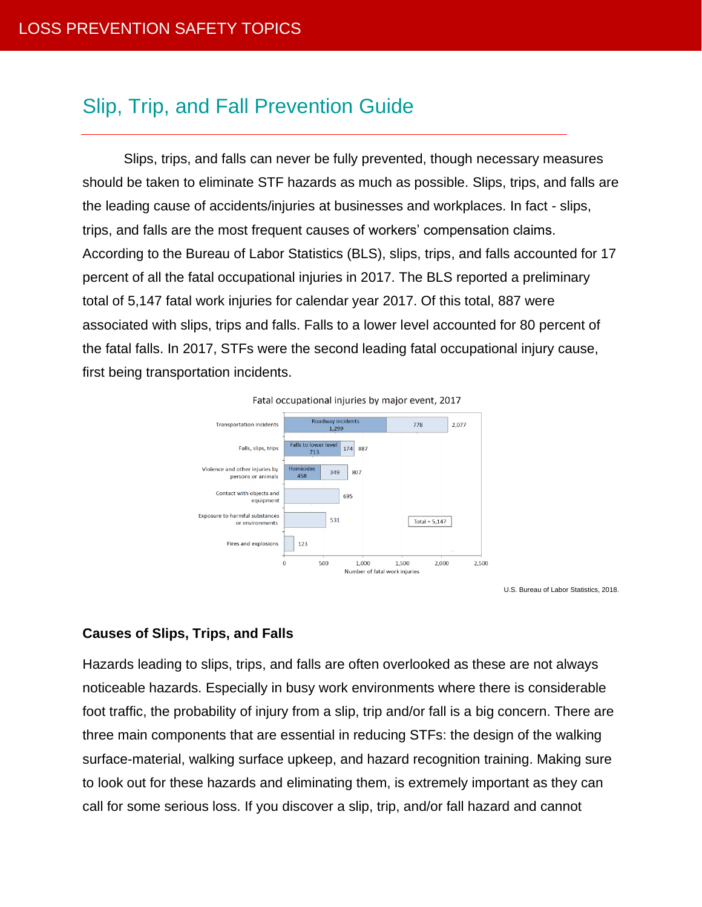# Slip, Trip, and Fall Prevention Guide

Slips, trips, and falls can never be fully prevented, though necessary measures should be taken to eliminate STF hazards as much as possible. Slips, trips, and falls are the leading cause of accidents/injuries at businesses and workplaces. In fact - slips, trips, and falls are the most frequent causes of workers' compensation claims. According to the Bureau of Labor Statistics (BLS), slips, trips, and falls accounted for 17 percent of all the fatal occupational injuries in 2017. The BLS reported a preliminary total of 5,147 fatal work injuries for calendar year 2017. Of this total, 887 were associated with slips, trips and falls. Falls to a lower level accounted for 80 percent of the fatal falls. In 2017, STFs were the second leading fatal occupational injury cause, first being transportation incidents.



U.S. Bureau of Labor Statistics, 2018.

#### **Causes of Slips, Trips, and Falls**

Hazards leading to slips, trips, and falls are often overlooked as these are not always noticeable hazards. Especially in busy work environments where there is considerable foot traffic, the probability of injury from a slip, trip and/or fall is a big concern. There are three main components that are essential in reducing STFs: the design of the walking surface-material, walking surface upkeep, and hazard recognition training. Making sure to look out for these hazards and eliminating them, is extremely important as they can call for some serious loss. If you discover a slip, trip, and/or fall hazard and cannot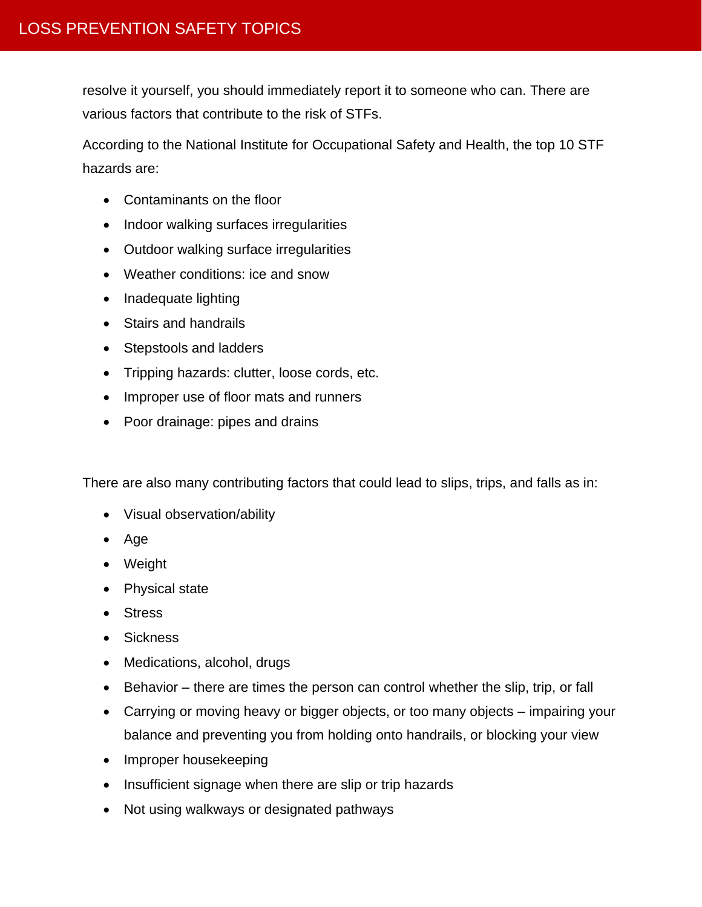resolve it yourself, you should immediately report it to someone who can. There are various factors that contribute to the risk of STFs.

According to the National Institute for Occupational Safety and Health, the top 10 STF hazards are:

- Contaminants on the floor
- Indoor walking surfaces irregularities
- Outdoor walking surface irregularities
- Weather conditions: ice and snow
- Inadequate lighting
- Stairs and handrails
- Stepstools and ladders
- Tripping hazards: clutter, loose cords, etc.
- Improper use of floor mats and runners
- Poor drainage: pipes and drains

There are also many contributing factors that could lead to slips, trips, and falls as in:

- Visual observation/ability
- Age
- Weight
- Physical state
- Stress
- Sickness
- Medications, alcohol, drugs
- Behavior there are times the person can control whether the slip, trip, or fall
- Carrying or moving heavy or bigger objects, or too many objects impairing your balance and preventing you from holding onto handrails, or blocking your view
- Improper housekeeping
- Insufficient signage when there are slip or trip hazards
- Not using walkways or designated pathways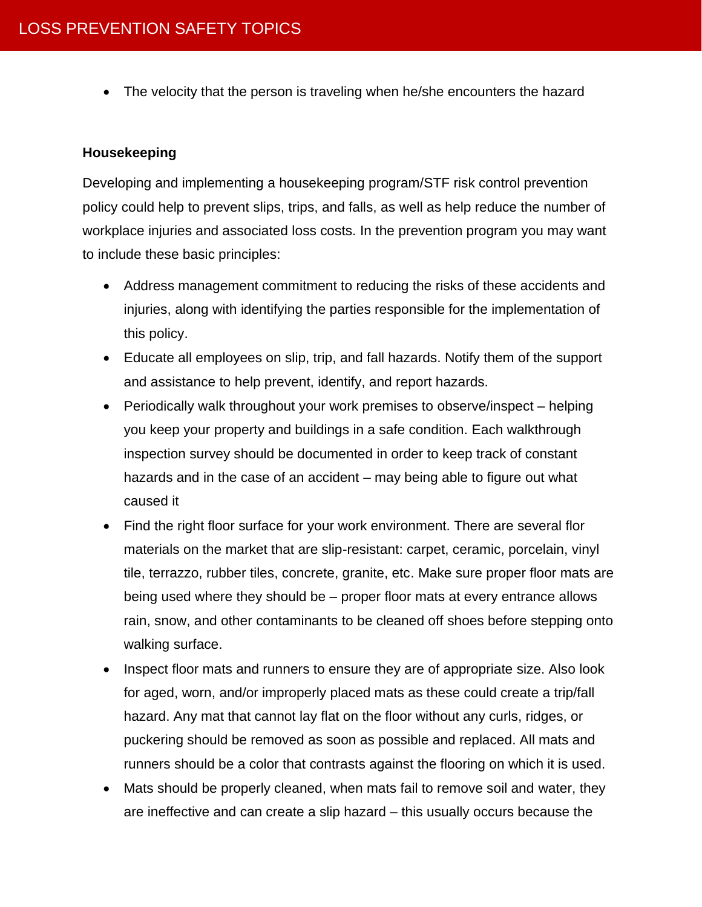• The velocity that the person is traveling when he/she encounters the hazard

## **Housekeeping**

Developing and implementing a housekeeping program/STF risk control prevention policy could help to prevent slips, trips, and falls, as well as help reduce the number of workplace injuries and associated loss costs. In the prevention program you may want to include these basic principles:

- Address management commitment to reducing the risks of these accidents and injuries, along with identifying the parties responsible for the implementation of this policy.
- Educate all employees on slip, trip, and fall hazards. Notify them of the support and assistance to help prevent, identify, and report hazards.
- Periodically walk throughout your work premises to observe/inspect helping you keep your property and buildings in a safe condition. Each walkthrough inspection survey should be documented in order to keep track of constant hazards and in the case of an accident – may being able to figure out what caused it
- Find the right floor surface for your work environment. There are several flor materials on the market that are slip-resistant: carpet, ceramic, porcelain, vinyl tile, terrazzo, rubber tiles, concrete, granite, etc. Make sure proper floor mats are being used where they should be – proper floor mats at every entrance allows rain, snow, and other contaminants to be cleaned off shoes before stepping onto walking surface.
- Inspect floor mats and runners to ensure they are of appropriate size. Also look for aged, worn, and/or improperly placed mats as these could create a trip/fall hazard. Any mat that cannot lay flat on the floor without any curls, ridges, or puckering should be removed as soon as possible and replaced. All mats and runners should be a color that contrasts against the flooring on which it is used.
- Mats should be properly cleaned, when mats fail to remove soil and water, they are ineffective and can create a slip hazard – this usually occurs because the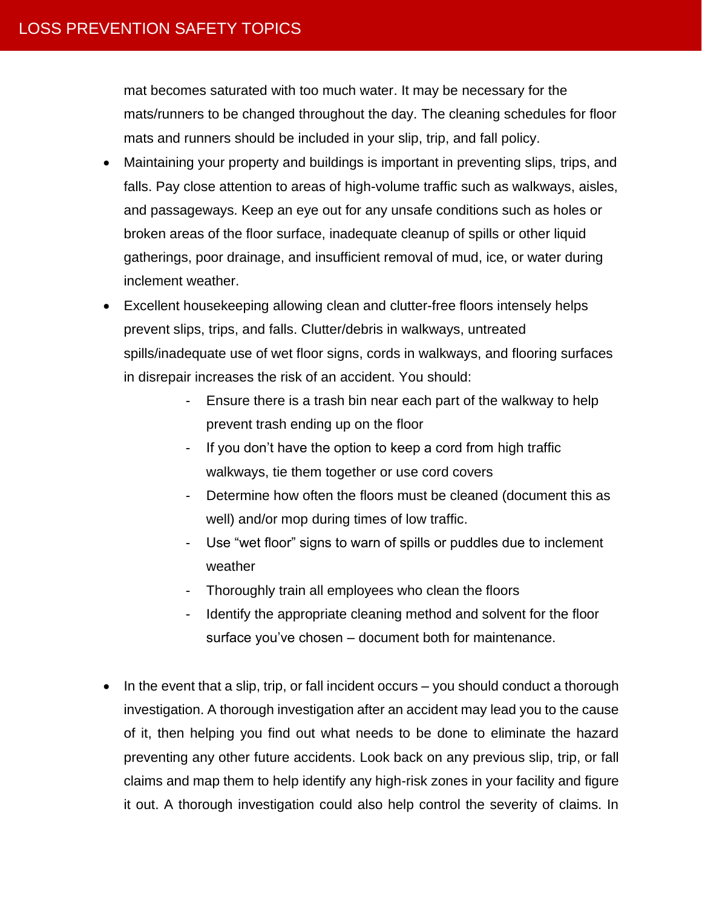mat becomes saturated with too much water. It may be necessary for the mats/runners to be changed throughout the day. The cleaning schedules for floor mats and runners should be included in your slip, trip, and fall policy.

- Maintaining your property and buildings is important in preventing slips, trips, and falls. Pay close attention to areas of high-volume traffic such as walkways, aisles, and passageways. Keep an eye out for any unsafe conditions such as holes or broken areas of the floor surface, inadequate cleanup of spills or other liquid gatherings, poor drainage, and insufficient removal of mud, ice, or water during inclement weather.
- Excellent housekeeping allowing clean and clutter-free floors intensely helps prevent slips, trips, and falls. Clutter/debris in walkways, untreated spills/inadequate use of wet floor signs, cords in walkways, and flooring surfaces in disrepair increases the risk of an accident. You should:
	- Ensure there is a trash bin near each part of the walkway to help prevent trash ending up on the floor
	- If you don't have the option to keep a cord from high traffic walkways, tie them together or use cord covers
	- Determine how often the floors must be cleaned (document this as well) and/or mop during times of low traffic.
	- Use "wet floor" signs to warn of spills or puddles due to inclement weather
	- Thoroughly train all employees who clean the floors
	- Identify the appropriate cleaning method and solvent for the floor surface you've chosen – document both for maintenance.
- In the event that a slip, trip, or fall incident occurs  $-$  you should conduct a thorough investigation. A thorough investigation after an accident may lead you to the cause of it, then helping you find out what needs to be done to eliminate the hazard preventing any other future accidents. Look back on any previous slip, trip, or fall claims and map them to help identify any high-risk zones in your facility and figure it out. A thorough investigation could also help control the severity of claims. In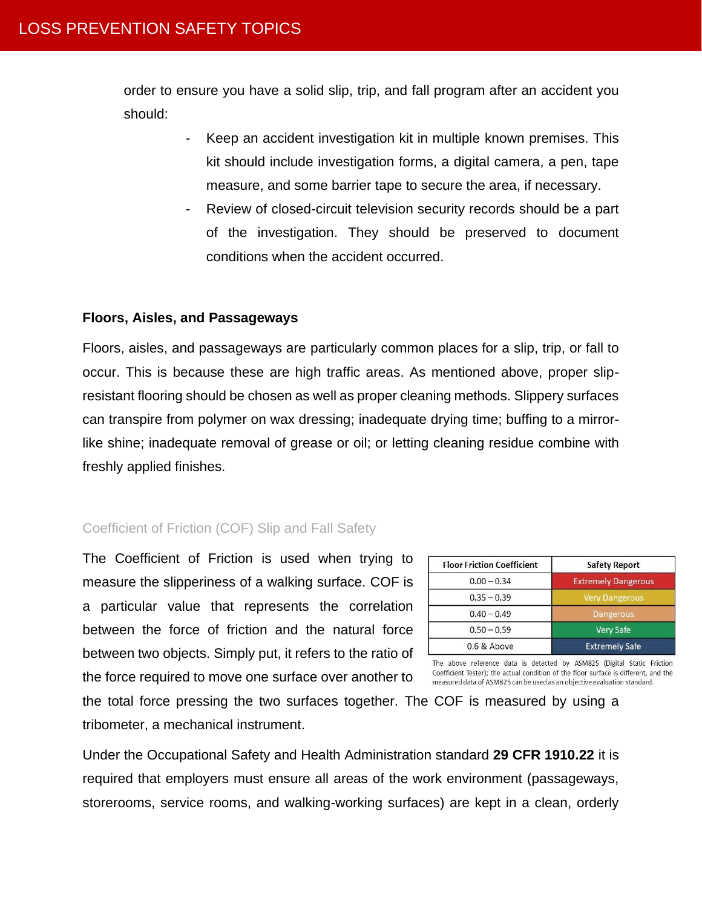order to ensure you have a solid slip, trip, and fall program after an accident you should:

- Keep an accident investigation kit in multiple known premises. This kit should include investigation forms, a digital camera, a pen, tape measure, and some barrier tape to secure the area, if necessary.
- Review of closed-circuit television security records should be a part of the investigation. They should be preserved to document conditions when the accident occurred.

#### **Floors, Aisles, and Passageways**

Floors, aisles, and passageways are particularly common places for a slip, trip, or fall to occur. This is because these are high traffic areas. As mentioned above, proper slipresistant flooring should be chosen as well as proper cleaning methods. Slippery surfaces can transpire from polymer on wax dressing; inadequate drying time; buffing to a mirrorlike shine; inadequate removal of grease or oil; or letting cleaning residue combine with freshly applied finishes.

#### Coefficient of Friction (COF) Slip and Fall Safety

The Coefficient of Friction is used when trying to measure the slipperiness of a walking surface. COF is a particular value that represents the correlation between the force of friction and the natural force between two objects. Simply put, it refers to the ratio of the force required to move one surface over another to

**Floor Friction Coefficient Safety Report**  $0.00 - 0.34$ **Extremely Dangerous** 

Coefficient Tester); the actual condition of the floor surface is different, and the measured data of ASM825 can be used as an objective evaluation standard.

the total force pressing the two surfaces together. The COF is measured by using a tribometer, a mechanical instrument.

Under the Occupational Safety and Health Administration standard **29 CFR 1910.22** it is required that employers must ensure all areas of the work environment (passageways, storerooms, service rooms, and walking-working surfaces) are kept in a clean, orderly

| $0.35 - 0.39$ | <b>Very Dangerous</b> |  |  |
|---------------|-----------------------|--|--|
| $0.40 - 0.49$ | Dangerous             |  |  |
| $0.50 - 0.59$ | <b>Very Safe</b>      |  |  |
| 0.6 & Above   | <b>Extremely Safe</b> |  |  |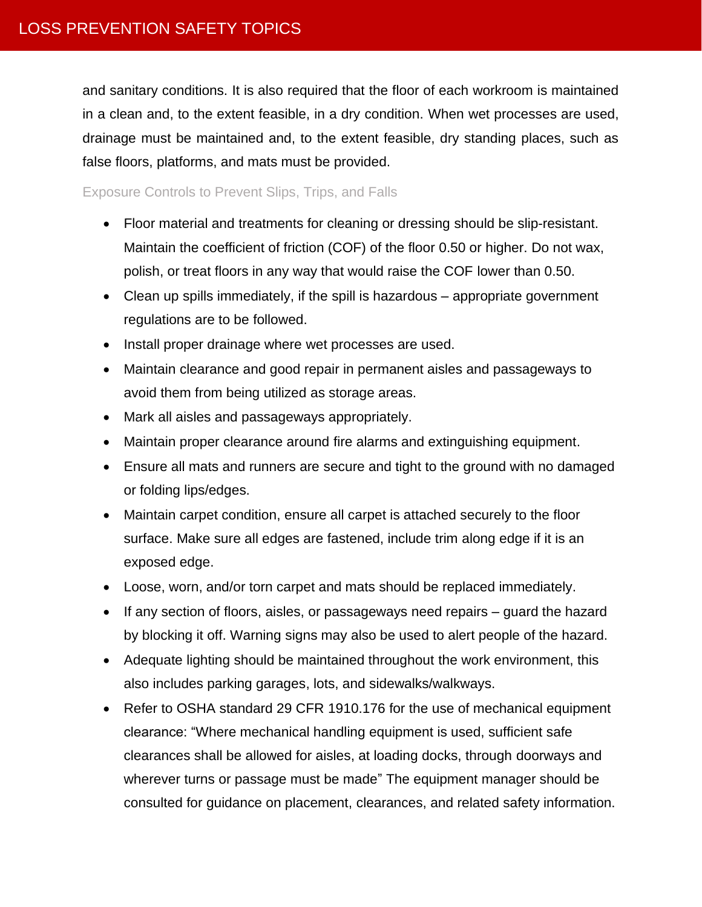and sanitary conditions. It is also required that the floor of each workroom is maintained in a clean and, to the extent feasible, in a dry condition. When wet processes are used, drainage must be maintained and, to the extent feasible, dry standing places, such as false floors, platforms, and mats must be provided.

Exposure Controls to Prevent Slips, Trips, and Falls

- Floor material and treatments for cleaning or dressing should be slip-resistant. Maintain the coefficient of friction (COF) of the floor 0.50 or higher. Do not wax, polish, or treat floors in any way that would raise the COF lower than 0.50.
- Clean up spills immediately, if the spill is hazardous appropriate government regulations are to be followed.
- Install proper drainage where wet processes are used.
- Maintain clearance and good repair in permanent aisles and passageways to avoid them from being utilized as storage areas.
- Mark all aisles and passageways appropriately.
- Maintain proper clearance around fire alarms and extinguishing equipment.
- Ensure all mats and runners are secure and tight to the ground with no damaged or folding lips/edges.
- Maintain carpet condition, ensure all carpet is attached securely to the floor surface. Make sure all edges are fastened, include trim along edge if it is an exposed edge.
- Loose, worn, and/or torn carpet and mats should be replaced immediately.
- If any section of floors, aisles, or passageways need repairs guard the hazard by blocking it off. Warning signs may also be used to alert people of the hazard.
- Adequate lighting should be maintained throughout the work environment, this also includes parking garages, lots, and sidewalks/walkways.
- Refer to OSHA standard 29 CFR 1910.176 for the use of mechanical equipment clearance: "Where mechanical handling equipment is used, sufficient safe clearances shall be allowed for aisles, at loading docks, through doorways and wherever turns or passage must be made" The equipment manager should be consulted for guidance on placement, clearances, and related safety information.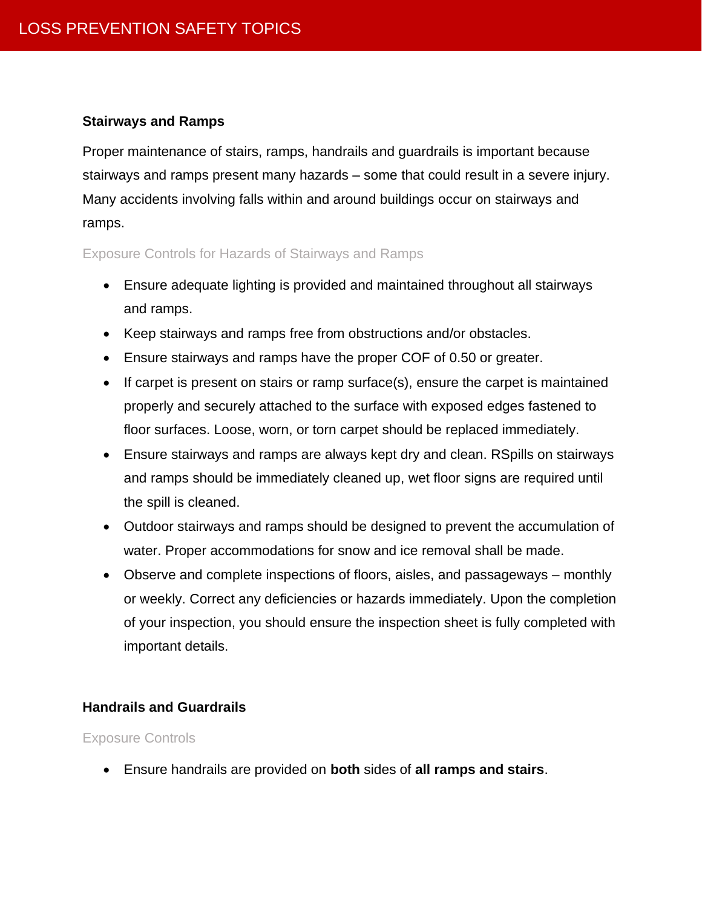# **Stairways and Ramps**

Proper maintenance of stairs, ramps, handrails and guardrails is important because stairways and ramps present many hazards – some that could result in a severe injury. Many accidents involving falls within and around buildings occur on stairways and ramps.

# Exposure Controls for Hazards of Stairways and Ramps

- Ensure adequate lighting is provided and maintained throughout all stairways and ramps.
- Keep stairways and ramps free from obstructions and/or obstacles.
- Ensure stairways and ramps have the proper COF of 0.50 or greater.
- If carpet is present on stairs or ramp surface(s), ensure the carpet is maintained properly and securely attached to the surface with exposed edges fastened to floor surfaces. Loose, worn, or torn carpet should be replaced immediately.
- Ensure stairways and ramps are always kept dry and clean. RSpills on stairways and ramps should be immediately cleaned up, wet floor signs are required until the spill is cleaned.
- Outdoor stairways and ramps should be designed to prevent the accumulation of water. Proper accommodations for snow and ice removal shall be made.
- Observe and complete inspections of floors, aisles, and passageways monthly or weekly. Correct any deficiencies or hazards immediately. Upon the completion of your inspection, you should ensure the inspection sheet is fully completed with important details.

# **Handrails and Guardrails**

#### Exposure Controls

• Ensure handrails are provided on **both** sides of **all ramps and stairs**.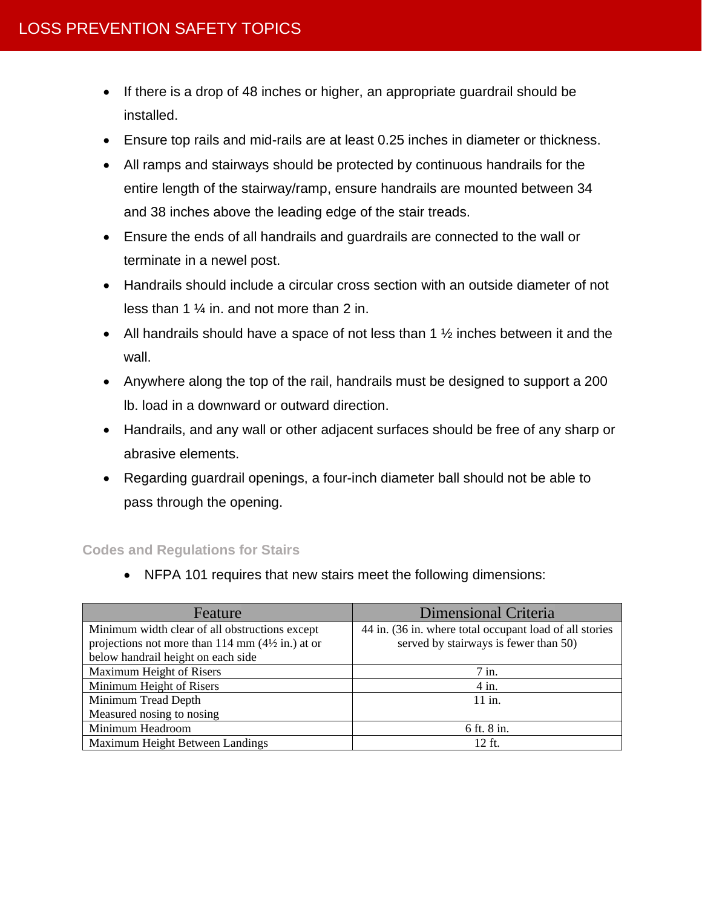- If there is a drop of 48 inches or higher, an appropriate guardrail should be installed.
- Ensure top rails and mid-rails are at least 0.25 inches in diameter or thickness.
- All ramps and stairways should be protected by continuous handrails for the entire length of the stairway/ramp, ensure handrails are mounted between 34 and 38 inches above the leading edge of the stair treads.
- Ensure the ends of all handrails and guardrails are connected to the wall or terminate in a newel post.
- Handrails should include a circular cross section with an outside diameter of not less than 1 ¼ in. and not more than 2 in.
- All handrails should have a space of not less than 1  $\frac{1}{2}$  inches between it and the wall.
- Anywhere along the top of the rail, handrails must be designed to support a 200 lb. load in a downward or outward direction.
- Handrails, and any wall or other adjacent surfaces should be free of any sharp or abrasive elements.
- Regarding guardrail openings, a four-inch diameter ball should not be able to pass through the opening.

#### **Codes and Regulations for Stairs**

• NFPA 101 requires that new stairs meet the following dimensions:

| Feature                                                     | Dimensional Criteria                                    |  |
|-------------------------------------------------------------|---------------------------------------------------------|--|
| Minimum width clear of all obstructions except              | 44 in. (36 in. where total occupant load of all stories |  |
| projections not more than 114 mm $(4\frac{1}{2}$ in.) at or | served by stairways is fewer than 50)                   |  |
| below handrail height on each side                          |                                                         |  |
| Maximum Height of Risers                                    | $7$ in.                                                 |  |
| Minimum Height of Risers                                    | $4$ in.                                                 |  |
| Minimum Tread Depth                                         | $11$ in.                                                |  |
| Measured nosing to nosing                                   |                                                         |  |
| Minimum Headroom                                            | 6 ft. 8 in.                                             |  |
| Maximum Height Between Landings                             | 12 ft.                                                  |  |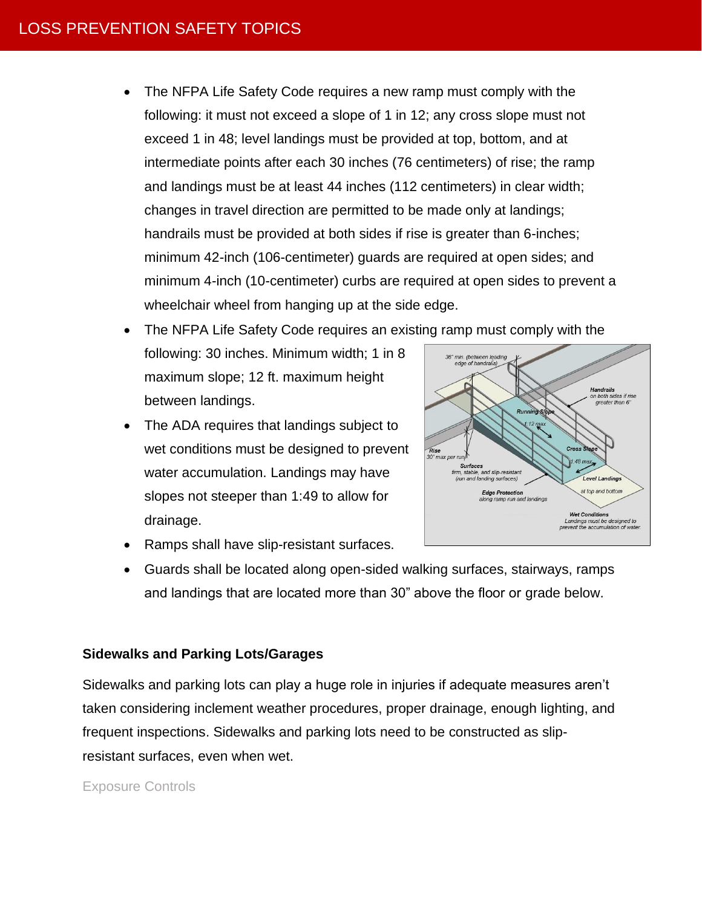• The NFPA Life Safety Code requires a new ramp must comply with the following: it must not exceed a slope of 1 in 12; any cross slope must not exceed 1 in 48; level landings must be provided at top, bottom, and at intermediate points after each 30 inches (76 centimeters) of rise; the ramp and landings must be at least 44 inches (112 centimeters) in clear width; changes in travel direction are permitted to be made only at landings; handrails must be provided at both sides if rise is greater than 6-inches; minimum 42-inch (106-centimeter) guards are required at open sides; and minimum 4-inch (10-centimeter) curbs are required at open sides to prevent a wheelchair wheel from hanging up at the side edge.

• The NFPA Life Safety Code requires an existing ramp must comply with the

- following: 30 inches. Minimum width; 1 in 8 maximum slope; 12 ft. maximum height between landings.
- The ADA requires that landings subject to wet conditions must be designed to prevent water accumulation. Landings may have slopes not steeper than 1:49 to allow for drainage.



- Ramps shall have slip-resistant surfaces.
- Guards shall be located along open-sided walking surfaces, stairways, ramps and landings that are located more than 30" above the floor or grade below.

# **Sidewalks and Parking Lots/Garages**

Sidewalks and parking lots can play a huge role in injuries if adequate measures aren't taken considering inclement weather procedures, proper drainage, enough lighting, and frequent inspections. Sidewalks and parking lots need to be constructed as slipresistant surfaces, even when wet.

# Exposure Controls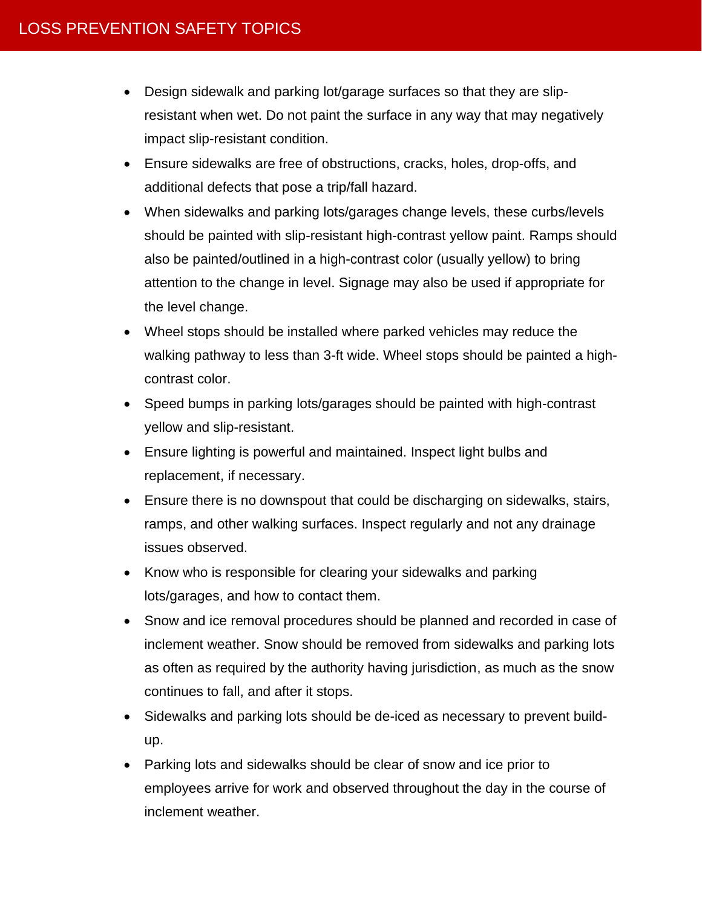- Design sidewalk and parking lot/garage surfaces so that they are slipresistant when wet. Do not paint the surface in any way that may negatively impact slip-resistant condition.
- Ensure sidewalks are free of obstructions, cracks, holes, drop-offs, and additional defects that pose a trip/fall hazard.
- When sidewalks and parking lots/garages change levels, these curbs/levels should be painted with slip-resistant high-contrast yellow paint. Ramps should also be painted/outlined in a high-contrast color (usually yellow) to bring attention to the change in level. Signage may also be used if appropriate for the level change.
- Wheel stops should be installed where parked vehicles may reduce the walking pathway to less than 3-ft wide. Wheel stops should be painted a highcontrast color.
- Speed bumps in parking lots/garages should be painted with high-contrast yellow and slip-resistant.
- Ensure lighting is powerful and maintained. Inspect light bulbs and replacement, if necessary.
- Ensure there is no downspout that could be discharging on sidewalks, stairs, ramps, and other walking surfaces. Inspect regularly and not any drainage issues observed.
- Know who is responsible for clearing your sidewalks and parking lots/garages, and how to contact them.
- Snow and ice removal procedures should be planned and recorded in case of inclement weather. Snow should be removed from sidewalks and parking lots as often as required by the authority having jurisdiction, as much as the snow continues to fall, and after it stops.
- Sidewalks and parking lots should be de-iced as necessary to prevent buildup.
- Parking lots and sidewalks should be clear of snow and ice prior to employees arrive for work and observed throughout the day in the course of inclement weather.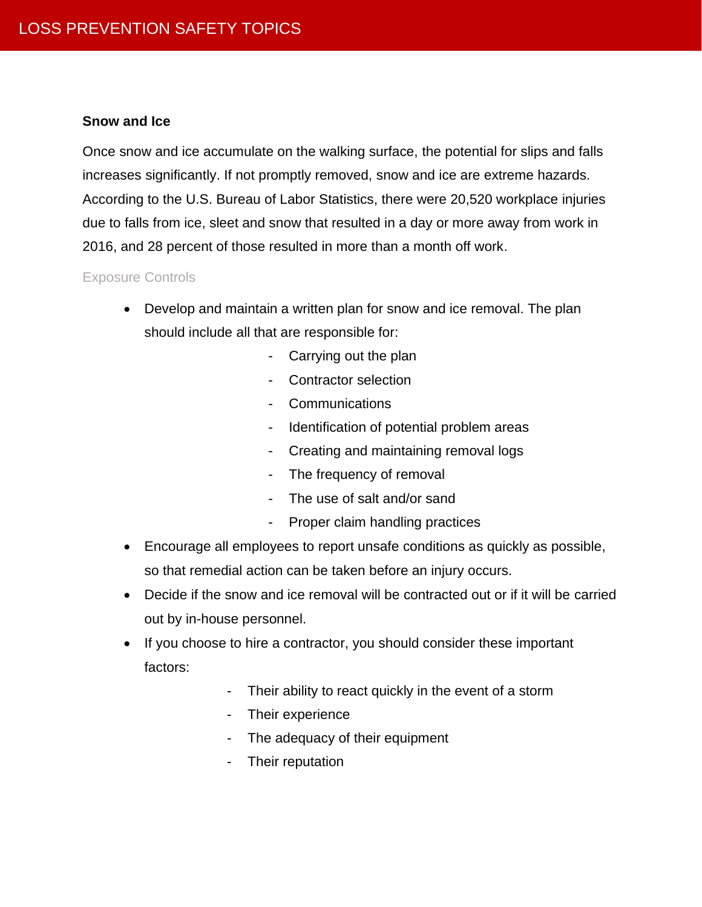## **Snow and Ice**

Once snow and ice accumulate on the walking surface, the potential for slips and falls increases significantly. If not promptly removed, snow and ice are extreme hazards. According to the U.S. Bureau of Labor Statistics, there were 20,520 workplace injuries due to falls from ice, sleet and snow that resulted in a day or more away from work in 2016, and 28 percent of those resulted in more than a month off work.

## Exposure Controls

- Develop and maintain a written plan for snow and ice removal. The plan should include all that are responsible for:
	- Carrying out the plan
	- Contractor selection
	- Communications
	- Identification of potential problem areas
	- Creating and maintaining removal logs
	- The frequency of removal
	- The use of salt and/or sand
	- Proper claim handling practices
- Encourage all employees to report unsafe conditions as quickly as possible, so that remedial action can be taken before an injury occurs.
- Decide if the snow and ice removal will be contracted out or if it will be carried out by in-house personnel.
- If you choose to hire a contractor, you should consider these important factors:
	- Their ability to react quickly in the event of a storm
	- Their experience
	- The adequacy of their equipment
	- Their reputation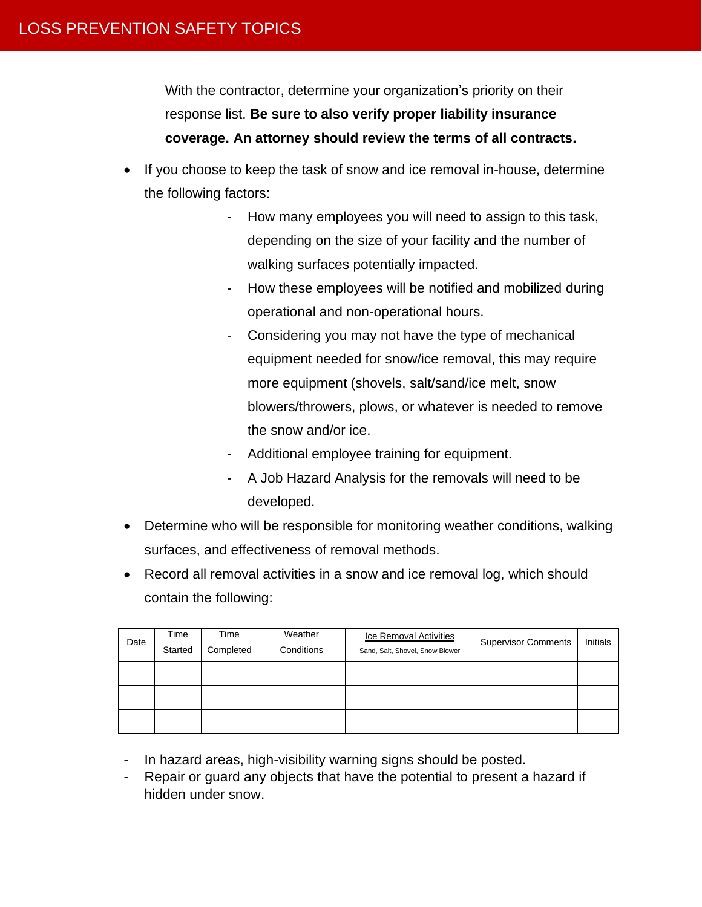With the contractor, determine your organization's priority on their response list. **Be sure to also verify proper liability insurance coverage. An attorney should review the terms of all contracts.**

- If you choose to keep the task of snow and ice removal in-house, determine the following factors:
	- How many employees you will need to assign to this task, depending on the size of your facility and the number of walking surfaces potentially impacted.
	- How these employees will be notified and mobilized during operational and non-operational hours.
	- Considering you may not have the type of mechanical equipment needed for snow/ice removal, this may require more equipment (shovels, salt/sand/ice melt, snow blowers/throwers, plows, or whatever is needed to remove the snow and/or ice.
	- Additional employee training for equipment.
	- A Job Hazard Analysis for the removals will need to be developed.
- Determine who will be responsible for monitoring weather conditions, walking surfaces, and effectiveness of removal methods.
- Record all removal activities in a snow and ice removal log, which should contain the following:

| Date | Time<br>Started | Time<br>Completed | Weather<br>Conditions | Ice Removal Activities<br>Sand, Salt, Shovel, Snow Blower | <b>Supervisor Comments</b> | Initials |
|------|-----------------|-------------------|-----------------------|-----------------------------------------------------------|----------------------------|----------|
|      |                 |                   |                       |                                                           |                            |          |
|      |                 |                   |                       |                                                           |                            |          |
|      |                 |                   |                       |                                                           |                            |          |

- In hazard areas, high-visibility warning signs should be posted.
- Repair or guard any objects that have the potential to present a hazard if hidden under snow.